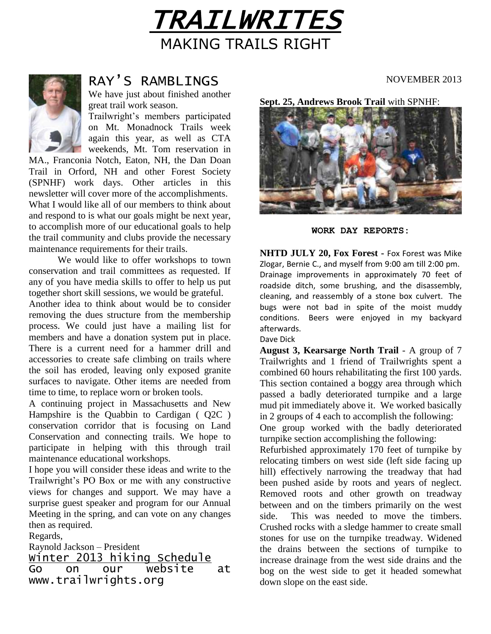



# RAY'S RAMBLINGS

We have just about finished another great trail work season.

Trailwright's members participated on Mt. Monadnock Trails week again this year, as well as CTA weekends, Mt. Tom reservation in

MA., Franconia Notch, Eaton, NH, the Dan Doan Trail in Orford, NH and other Forest Society (SPNHF) work days. Other articles in this newsletter will cover more of the accomplishments. What I would like all of our members to think about and respond to is what our goals might be next year, to accomplish more of our educational goals to help the trail community and clubs provide the necessary maintenance requirements for their trails.

We would like to offer workshops to town conservation and trail committees as requested. If any of you have media skills to offer to help us put together short skill sessions, we would be grateful.

Another idea to think about would be to consider removing the dues structure from the membership process. We could just have a mailing list for members and have a donation system put in place. There is a current need for a hammer drill and accessories to create safe climbing on trails where the soil has eroded, leaving only exposed granite surfaces to navigate. Other items are needed from time to time, to replace worn or broken tools.

A continuing project in Massachusetts and New Hampshire is the Quabbin to Cardigan ( Q2C ) conservation corridor that is focusing on Land Conservation and connecting trails. We hope to participate in helping with this through trail maintenance educational workshops.

I hope you will consider these ideas and write to the Trailwright's PO Box or me with any constructive views for changes and support. We may have a surprise guest speaker and program for our Annual Meeting in the spring, and can vote on any changes then as required.

Regards,

Raynold Jackson – President Winter 2013 hiking Schedule Go on our website at www.trailwrights.org

NOVEMBER 2013

**Sept. 25, Andrews Brook Trail** with SPNHF:



**WORK DAY REPORTS:**

**NHTD JULY 20, Fox Forest -** Fox Forest was Mike Zlogar, Bernie C., and myself from 9:00 am till 2:00 pm. Drainage improvements in approximately 70 feet of roadside ditch, some brushing, and the disassembly, cleaning, and reassembly of a stone box culvert. The bugs were not bad in spite of the moist muddy conditions. Beers were enjoyed in my backyard afterwards. Dave Dick

**August 3, Kearsarge North Trail** - A group of 7 Trailwrights and 1 friend of Trailwrights spent a combined 60 hours rehabilitating the first 100 yards. This section contained a boggy area through which passed a badly deteriorated turnpike and a large mud pit immediately above it. We worked basically in 2 groups of 4 each to accomplish the following:

One group worked with the badly deteriorated turnpike section accomplishing the following:

Refurbished approximately 170 feet of turnpike by relocating timbers on west side (left side facing up hill) effectively narrowing the treadway that had been pushed aside by roots and years of neglect. Removed roots and other growth on treadway between and on the timbers primarily on the west side. This was needed to move the timbers. Crushed rocks with a sledge hammer to create small stones for use on the turnpike treadway. Widened the drains between the sections of turnpike to increase drainage from the west side drains and the bog on the west side to get it headed somewhat down slope on the east side.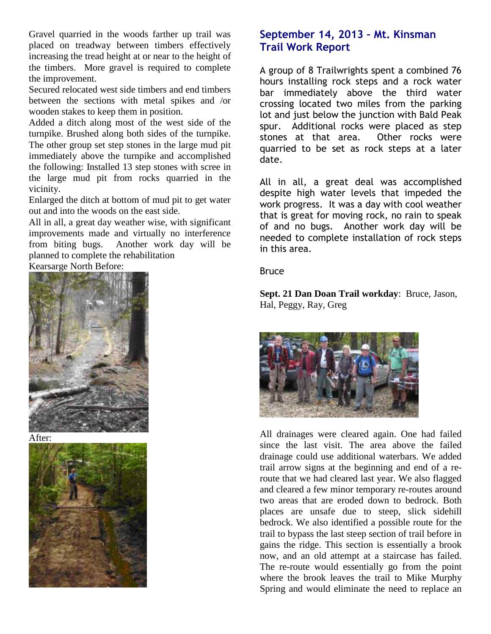Gravel quarried in the woods farther up trail was placed on treadway between timbers effectively increasing the tread height at or near to the height of the timbers. More gravel is required to complete the improvement.

Secured relocated west side timbers and end timbers between the sections with metal spikes and /or wooden stakes to keep them in position.

Added a ditch along most of the west side of the turnpike. Brushed along both sides of the turnpike. The other group set step stones in the large mud pit immediately above the turnpike and accomplished the following: Installed 13 step stones with scree in the large mud pit from rocks quarried in the vicinity.

Enlarged the ditch at bottom of mud pit to get water out and into the woods on the east side.

All in all, a great day weather wise, with significant improvements made and virtually no interference from biting bugs. Another work day will be planned to complete the rehabilitation

Kearsarge North Before:



After:



### **September 14, 2013 – Mt. Kinsman Trail Work Report**

A group of 8 Trailwrights spent a combined 76 hours installing rock steps and a rock water bar immediately above the third water crossing located two miles from the parking lot and just below the junction with Bald Peak spur. Additional rocks were placed as step stones at that area. Other rocks were quarried to be set as rock steps at a later date.

All in all, a great deal was accomplished despite high water levels that impeded the work progress. It was a day with cool weather that is great for moving rock, no rain to speak of and no bugs. Another work day will be needed to complete installation of rock steps in this area.

Bruce

**Sept. 21 Dan Doan Trail workday**: Bruce, Jason, Hal, Peggy, Ray, Greg



All drainages were cleared again. One had failed since the last visit. The area above the failed drainage could use additional waterbars. We added trail arrow signs at the beginning and end of a reroute that we had cleared last year. We also flagged and cleared a few minor temporary re-routes around two areas that are eroded down to bedrock. Both places are unsafe due to steep, slick sidehill bedrock. We also identified a possible route for the trail to bypass the last steep section of trail before in gains the ridge. This section is essentially a brook now, and an old attempt at a staircase has failed. The re-route would essentially go from the point where the brook leaves the trail to Mike Murphy Spring and would eliminate the need to replace an